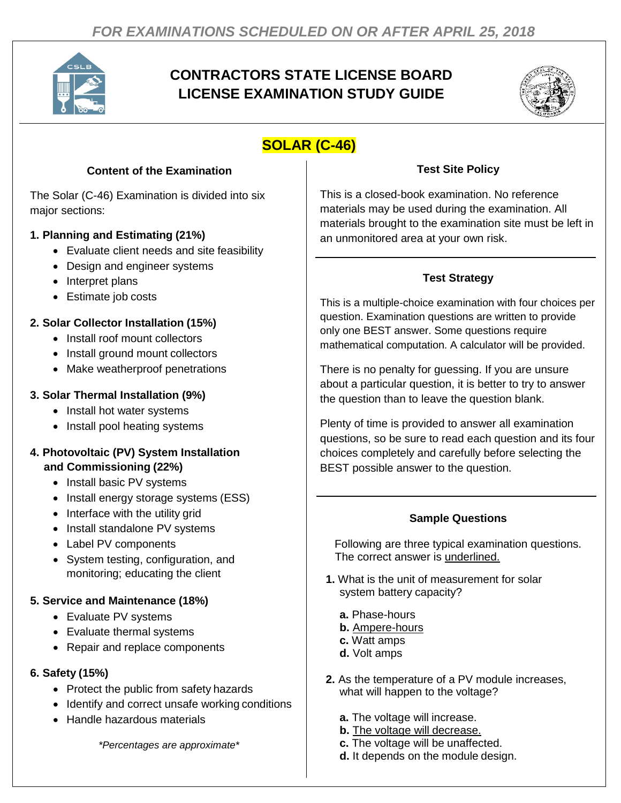

# **CONTRACTORS STATE LICENSE BOARD LICENSE EXAMINATION STUDY GUIDE**



# **SOLAR (C-46)**

## **Content of the Examination**

The Solar (C-46) Examination is divided into six major sections:

## **1. Planning and Estimating (21%)**

- Evaluate client needs and site feasibility
- Design and engineer systems
- Interpret plans
- Estimate job costs

# **2. Solar Collector Installation (15%)**

- Install roof mount collectors
- Install ground mount collectors
- Make weatherproof penetrations

## **3. Solar Thermal Installation (9%)**

- Install hot water systems
- Install pool heating systems

#### **4. Photovoltaic (PV) System Installation and Commissioning (22%)**

- Install basic PV systems
- Install energy storage systems (ESS)
- Interface with the utility grid
- Install standalone PV systems
- Label PV components
- System testing, configuration, and monitoring; educating the client

# **5. Service and Maintenance (18%)**

- Evaluate PV systems
- Evaluate thermal systems
- Repair and replace components

### **6. Safety (15%)**

- Protect the public from safety hazards
- Identify and correct unsafe working conditions
- Handle hazardous materials

*\*Percentages are approximate\**

### **Test Site Policy**

This is a closed-book examination. No reference materials may be used during the examination. All materials brought to the examination site must be left in an unmonitored area at your own risk.

## **Test Strategy**

This is a multiple-choice examination with four choices per question. Examination questions are written to provide only one BEST answer. Some questions require mathematical computation. A calculator will be provided.

There is no penalty for guessing. If you are unsure about a particular question, it is better to try to answer the question than to leave the question blank.

Plenty of time is provided to answer all examination questions, so be sure to read each question and its four choices completely and carefully before selecting the BEST possible answer to the question.

#### **Sample Questions**

Following are three typical examination questions. The correct answer is underlined.

- **1.** What is the unit of measurement for solar system battery capacity?
	- **a.** Phase-hours
	- **b.** Ampere-hours
	- **c.** Watt amps
	- **d.** Volt amps
- **2.** As the temperature of a PV module increases, what will happen to the voltage?
	- **a.** The voltage will increase.
	- **b.** The voltage will decrease.
	- **c.** The voltage will be unaffected.
	- **d.** It depends on the module design.